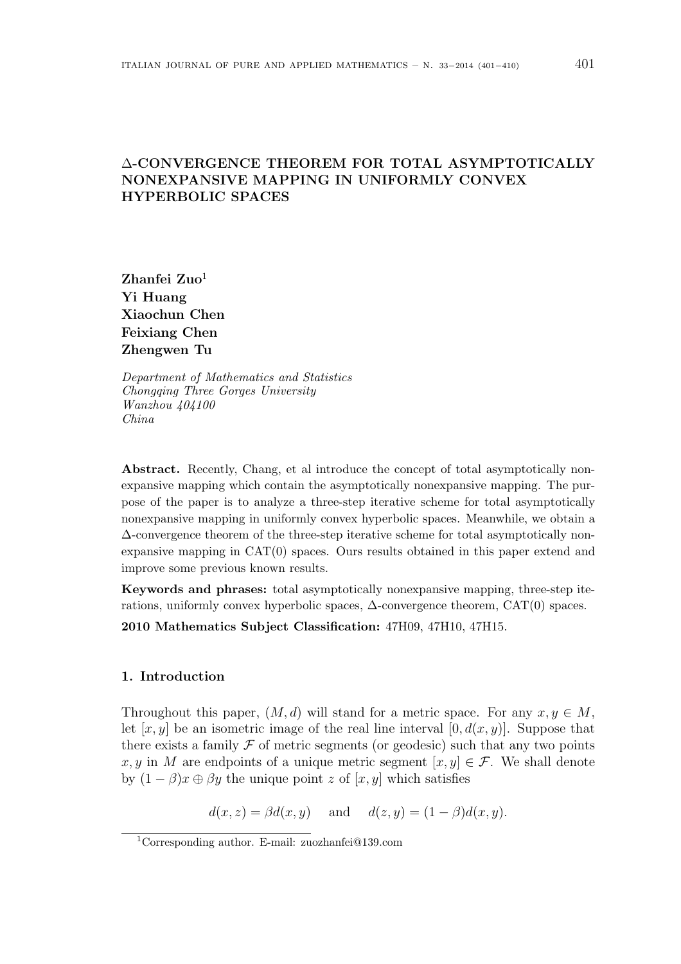# ∆-CONVERGENCE THEOREM FOR TOTAL ASYMPTOTICALLY NONEXPANSIVE MAPPING IN UNIFORMLY CONVEX HYPERBOLIC SPACES

 $Z$ hanfei  $Z$ uo<sup>1</sup> Yi Huang Xiaochun Chen Feixiang Chen Zhengwen Tu

Department of Mathematics and Statistics Chongqing Three Gorges University Wanzhou 404100 China

Abstract. Recently, Chang, et al introduce the concept of total asymptotically nonexpansive mapping which contain the asymptotically nonexpansive mapping. The purpose of the paper is to analyze a three-step iterative scheme for total asymptotically nonexpansive mapping in uniformly convex hyperbolic spaces. Meanwhile, we obtain a ∆-convergence theorem of the three-step iterative scheme for total asymptotically nonexpansive mapping in CAT(0) spaces. Ours results obtained in this paper extend and improve some previous known results.

Keywords and phrases: total asymptotically nonexpansive mapping, three-step iterations, uniformly convex hyperbolic spaces,  $\Delta$ -convergence theorem, CAT(0) spaces.

2010 Mathematics Subject Classification: 47H09, 47H10, 47H15.

# 1. Introduction

Throughout this paper,  $(M, d)$  will stand for a metric space. For any  $x, y \in M$ , let  $[x, y]$  be an isometric image of the real line interval  $[0, d(x, y)]$ . Suppose that there exists a family  $\mathcal F$  of metric segments (or geodesic) such that any two points x, y in M are endpoints of a unique metric segment  $[x, y] \in \mathcal{F}$ . We shall denote by  $(1 - \beta)x \oplus \beta y$  the unique point z of [x, y] which satisfies

 $d(x, z) = \beta d(x, y)$  and  $d(z, y) = (1 - \beta)d(x, y)$ .

<sup>1</sup>Corresponding author. E-mail: zuozhanfei@139.com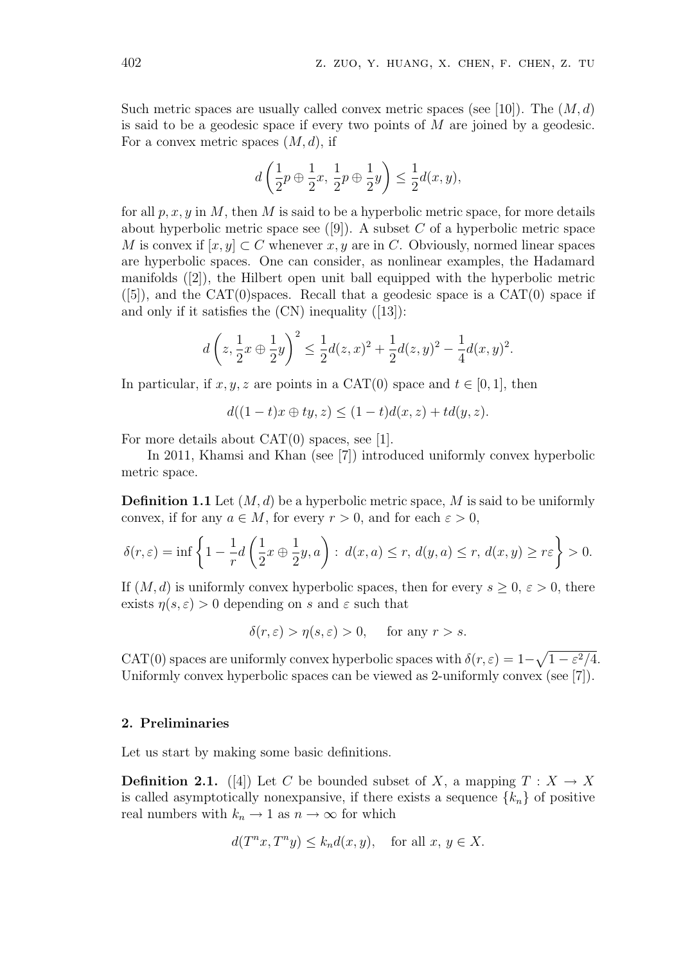Such metric spaces are usually called convex metric spaces (see [10]). The  $(M, d)$ is said to be a geodesic space if every two points of  $M$  are joined by a geodesic. For a convex metric spaces  $(M, d)$ , if

$$
d\left(\frac{1}{2}p\oplus\frac{1}{2}x,\,\frac{1}{2}p\oplus\frac{1}{2}y\right)\leq\frac{1}{2}d(x,y),
$$

for all  $p, x, y$  in M, then M is said to be a hyperbolic metric space, for more details about hyperbolic metric space see  $([9])$ . A subset C of a hyperbolic metric space M is convex if  $[x, y] \subset C$  whenever x, y are in C. Obviously, normed linear spaces are hyperbolic spaces. One can consider, as nonlinear examples, the Hadamard manifolds ([2]), the Hilbert open unit ball equipped with the hyperbolic metric  $([5])$ , and the CAT $(0)$ spaces. Recall that a geodesic space is a CAT $(0)$  space if and only if it satisfies the  $(CN)$  inequality  $([13])$ :

$$
d\left(z, \frac{1}{2}x \oplus \frac{1}{2}y\right)^2 \le \frac{1}{2}d(z, x)^2 + \frac{1}{2}d(z, y)^2 - \frac{1}{4}d(x, y)^2.
$$

In particular, if  $x, y, z$  are points in a CAT(0) space and  $t \in [0, 1]$ , then

$$
d((1-t)x \oplus ty, z) \le (1-t)d(x, z) + td(y, z).
$$

For more details about CAT(0) spaces, see [1].

In 2011, Khamsi and Khan (see [7]) introduced uniformly convex hyperbolic metric space.

**Definition 1.1** Let  $(M, d)$  be a hyperbolic metric space, M is said to be uniformly convex, if for any  $a \in M$ , for every  $r > 0$ , and for each  $\varepsilon > 0$ ,

$$
\delta(r,\varepsilon) = \inf \left\{ 1 - \frac{1}{r} d\left(\frac{1}{2}x \oplus \frac{1}{2}y, a\right) : d(x,a) \le r, d(y,a) \le r, d(x,y) \ge r\varepsilon \right\} > 0.
$$

If  $(M, d)$  is uniformly convex hyperbolic spaces, then for every  $s \geq 0$ ,  $\varepsilon > 0$ , there exists  $\eta(s,\varepsilon) > 0$  depending on s and  $\varepsilon$  such that

$$
\delta(r,\varepsilon) > \eta(s,\varepsilon) > 0, \quad \text{ for any } r > s.
$$

CAT(0) spaces are uniformly convex hyperbolic spaces with  $\delta(r, \varepsilon) = 1$ – p  $1-\varepsilon^2/4$ . Uniformly convex hyperbolic spaces can be viewed as 2-uniformly convex (see [7]).

## 2. Preliminaries

Let us start by making some basic definitions.

**Definition 2.1.** ([4]) Let C be bounded subset of X, a mapping  $T : X \to X$ is called asymptotically nonexpansive, if there exists a sequence  $\{k_n\}$  of positive real numbers with  $k_n \to 1$  as  $n \to \infty$  for which

$$
d(T^n x, T^n y) \le k_n d(x, y), \quad \text{for all } x, y \in X.
$$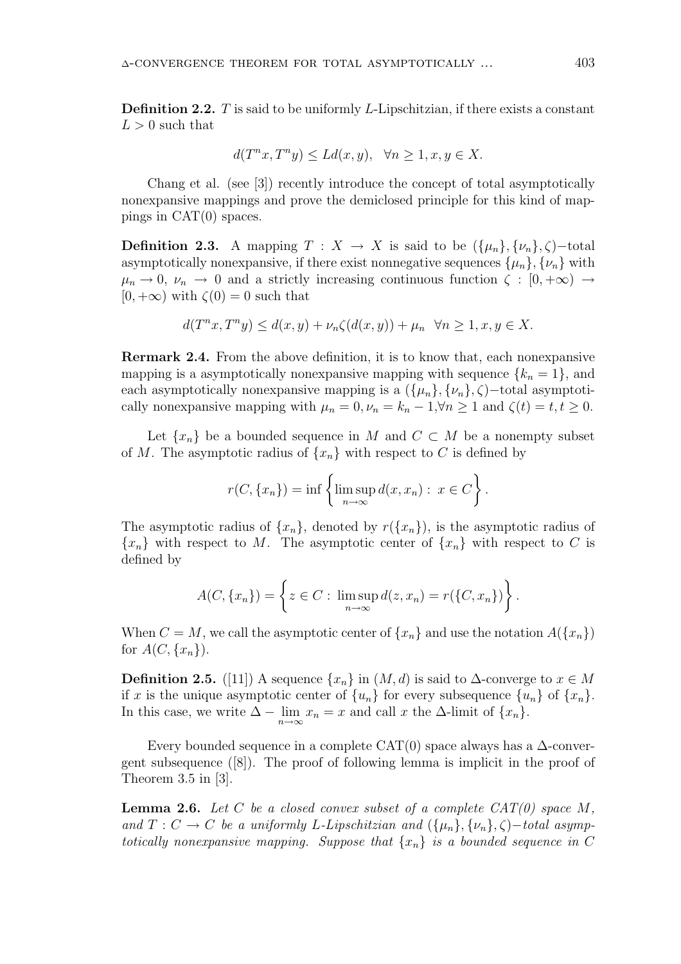**Definition 2.2.**  $T$  is said to be uniformly  $L$ -Lipschitzian, if there exists a constant  $L > 0$  such that

$$
d(T^n x, T^n y) \le Ld(x, y), \quad \forall n \ge 1, x, y \in X.
$$

Chang et al. (see [3]) recently introduce the concept of total asymptotically nonexpansive mappings and prove the demiclosed principle for this kind of mappings in CAT(0) spaces.

**Definition 2.3.** A mapping  $T : X \to X$  is said to be  $({\mu_n}, {\nu_n}, {\zeta})$ -total asymptotically nonexpansive, if there exist nonnegative sequences  $\{\mu_n\}, \{\nu_n\}$  with  $\mu_n \to 0$ ,  $\nu_n \to 0$  and a strictly increasing continuous function  $\zeta : [0, +\infty) \to$  $[0, +\infty)$  with  $\zeta(0) = 0$  such that

$$
d(T^n x, T^n y) \le d(x, y) + \nu_n \zeta(d(x, y)) + \mu_n \quad \forall n \ge 1, x, y \in X.
$$

Rermark 2.4. From the above definition, it is to know that, each nonexpansive mapping is a asymptotically nonexpansive mapping with sequence  $\{k_n = 1\}$ , and each asymptotically nonexpansive mapping is a  $({\mu_n}, {\nu_n}, {\varsigma})$  –total asymptotically nonexpansive mapping with  $\mu_n = 0$ ,  $\nu_n = k_n - 1$ ,  $\forall n \ge 1$  and  $\zeta(t) = t, t \ge 0$ .

Let  $\{x_n\}$  be a bounded sequence in M and  $C \subset M$  be a nonempty subset of M. The asymptotic radius of  $\{x_n\}$  with respect to C is defined by

$$
r(C, \{x_n\}) = \inf \left\{ \limsup_{n \to \infty} d(x, x_n) : x \in C \right\}.
$$

The asymptotic radius of  $\{x_n\}$ , denoted by  $r(\{x_n\})$ , is the asymptotic radius of  ${x_n}$  with respect to M. The asymptotic center of  ${x_n}$  with respect to C is defined by

$$
A(C, \{x_n\}) = \left\{ z \in C : \limsup_{n \to \infty} d(z, x_n) = r(\{C, x_n\}) \right\}.
$$

When  $C = M$ , we call the asymptotic center of  $\{x_n\}$  and use the notation  $A(\{x_n\})$ for  $A(C, \{x_n\})$ .

**Definition 2.5.** ([11]) A sequence  $\{x_n\}$  in  $(M, d)$  is said to  $\Delta$ -converge to  $x \in M$ if x is the unique asymptotic center of  $\{u_n\}$  for every subsequence  $\{u_n\}$  of  $\{x_n\}$ . In this case, we write  $\Delta - \lim_{n \to \infty} x_n = x$  and call x the  $\Delta$ -limit of  $\{x_n\}$ .

Every bounded sequence in a complete CAT(0) space always has a  $\Delta$ -convergent subsequence ([8]). The proof of following lemma is implicit in the proof of Theorem 3.5 in [3].

**Lemma 2.6.** Let C be a closed convex subset of a complete  $CAT(0)$  space M, and  $T: C \to C$  be a uniformly L-Lipschitzian and  $({\{\mu_n\}, {\{\nu_n\}, \zeta\}})$  –total asymptotically nonexpansive mapping. Suppose that  $\{x_n\}$  is a bounded sequence in C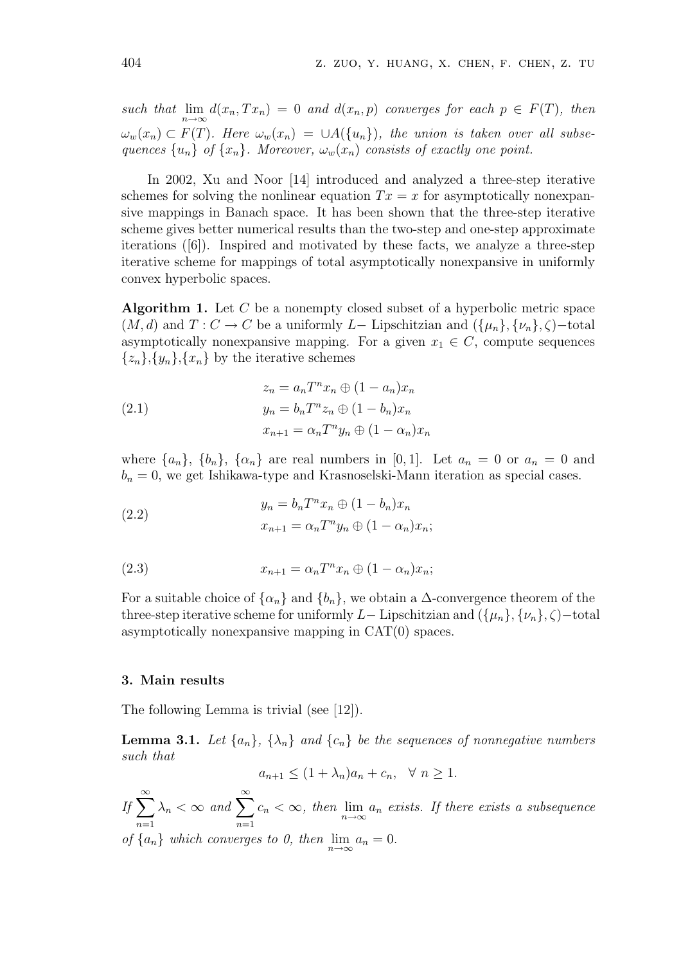such that  $\lim_{n\to\infty} d(x_n, Tx_n) = 0$  and  $d(x_n, p)$  converges for each  $p \in F(T)$ , then  $\omega_w(x_n) \subset F(T)$ . Here  $\omega_w(x_n) = \cup A(\{u_n\})$ , the union is taken over all subsequences  $\{u_n\}$  of  $\{x_n\}$ . Moreover,  $\omega_w(x_n)$  consists of exactly one point.

In 2002, Xu and Noor [14] introduced and analyzed a three-step iterative schemes for solving the nonlinear equation  $Tx = x$  for asymptotically nonexpansive mappings in Banach space. It has been shown that the three-step iterative scheme gives better numerical results than the two-step and one-step approximate iterations ([6]). Inspired and motivated by these facts, we analyze a three-step iterative scheme for mappings of total asymptotically nonexpansive in uniformly convex hyperbolic spaces.

**Algorithm 1.** Let  $C$  be a nonempty closed subset of a hyperbolic metric space  $(M, d)$  and  $T : C \to C$  be a uniformly L– Lipschitzian and  $({\mu_n}, {\nu_n}, \zeta)$ –total asymptotically nonexpansive mapping. For a given  $x_1 \in C$ , compute sequences  $\{z_n\}, \{y_n\}, \{x_n\}$  by the iterative schemes

(2.1) 
$$
z_n = a_n T^n x_n \oplus (1 - a_n) x_n
$$

$$
y_n = b_n T^n z_n \oplus (1 - b_n) x_n
$$

$$
x_{n+1} = \alpha_n T^n y_n \oplus (1 - \alpha_n) x_n
$$

where  $\{a_n\}$ ,  $\{b_n\}$ ,  $\{\alpha_n\}$  are real numbers in [0,1]. Let  $a_n = 0$  or  $a_n = 0$  and  $b_n = 0$ , we get Ishikawa-type and Krasnoselski-Mann iteration as special cases.

(2.2) 
$$
y_n = b_n T^n x_n \oplus (1 - b_n) x_n
$$

$$
x_{n+1} = \alpha_n T^n y_n \oplus (1 - \alpha_n) x_n;
$$

(2.3) 
$$
x_{n+1} = \alpha_n T^n x_n \oplus (1 - \alpha_n) x_n;
$$

For a suitable choice of  $\{\alpha_n\}$  and  $\{b_n\}$ , we obtain a  $\Delta$ -convergence theorem of the three-step iterative scheme for uniformly L– Lipschitzian and  $({\mu_n}, {\nu_n}, \zeta)$ –total asymptotically nonexpansive mapping in CAT(0) spaces.

#### 3. Main results

The following Lemma is trivial (see [12]).

**Lemma 3.1.** Let  $\{a_n\}$ ,  $\{\lambda_n\}$  and  $\{c_n\}$  be the sequences of nonnegative numbers such that

$$
a_{n+1} \le (1 + \lambda_n)a_n + c_n, \quad \forall \ n \ge 1.
$$

 $If \sum_{i=1}^{\infty}$  $n=1$  $\lambda_n < \infty$  and  $\sum_{n=1}^{\infty}$  $\sum_{n=1} c_n < \infty$ , then  $\lim_{n \to \infty} a_n$  exists. If there exists a subsequence

of  $\{a_n\}$  which converges to 0, then  $\lim_{n\to\infty} a_n = 0$ .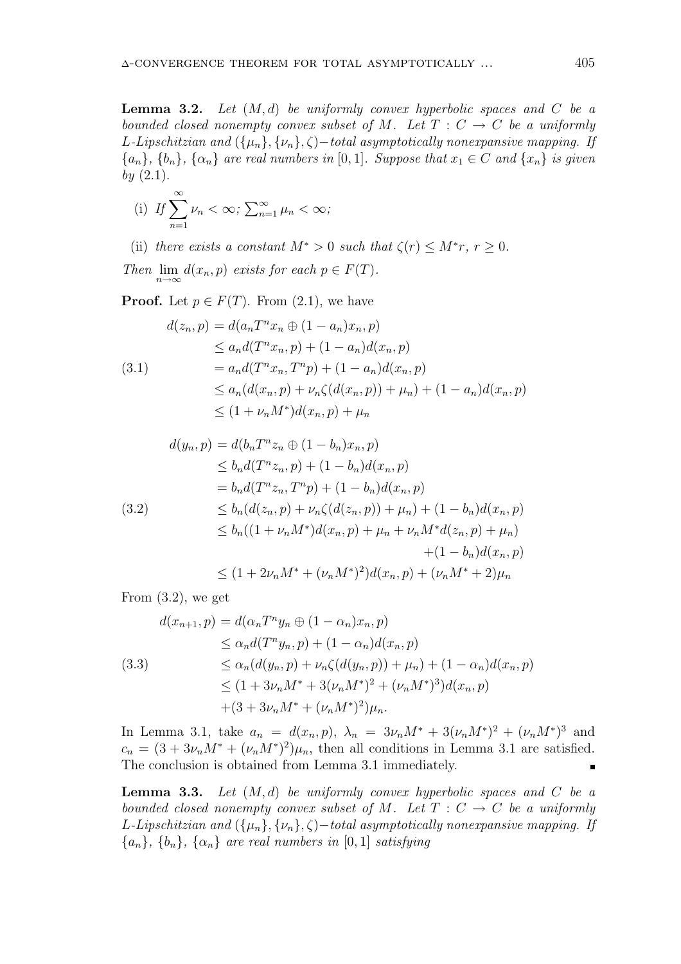**Lemma 3.2.** Let  $(M, d)$  be uniformly convex hyperbolic spaces and C be a bounded closed nonempty convex subset of M. Let  $T : C \to C$  be a uniformly L-Lipschitzian and  $({\mu_n}, {\nu_n}, {\zeta})$  – total asymptotically nonexpansive mapping. If  ${a_n}, {b_n}, {\alpha_n}$  are real numbers in [0, 1]. Suppose that  $x_1 \in C$  and  ${x_n}$  is given  $by (2.1).$ 

(i) If 
$$
\sum_{n=1}^{\infty} \nu_n < \infty
$$
;  $\sum_{n=1}^{\infty} \mu_n < \infty$ ;

(ii) there exists a constant  $M^* > 0$  such that  $\zeta(r) \leq M^*r$ ,  $r \geq 0$ .

Then  $\lim_{n\to\infty} d(x_n, p)$  exists for each  $p \in F(T)$ .

**Proof.** Let  $p \in F(T)$ . From (2.1), we have

$$
d(z_n, p) = d(a_n T^n x_n \oplus (1 - a_n) x_n, p)
$$
  
\n
$$
\leq a_n d(T^n x_n, p) + (1 - a_n) d(x_n, p)
$$
  
\n
$$
= a_n d(T^n x_n, T^n p) + (1 - a_n) d(x_n, p)
$$
  
\n
$$
\leq a_n (d(x_n, p) + \nu_n \zeta(d(x_n, p)) + \mu_n) + (1 - a_n) d(x_n, p)
$$
  
\n
$$
\leq (1 + \nu_n M^*) d(x_n, p) + \mu_n
$$

$$
d(y_n, p) = d(b_n T^n z_n \oplus (1 - b_n) x_n, p)
$$
  
\n
$$
\leq b_n d(T^n z_n, p) + (1 - b_n) d(x_n, p)
$$
  
\n
$$
= b_n d(T^n z_n, T^n p) + (1 - b_n) d(x_n, p)
$$
  
\n(3.2)  
\n
$$
\leq b_n (d(z_n, p) + \nu_n \zeta(d(z_n, p)) + \mu_n) + (1 - b_n) d(x_n, p)
$$
  
\n
$$
\leq b_n ((1 + \nu_n M^*) d(x_n, p) + \mu_n + \nu_n M^* d(z_n, p) + \mu_n) + (1 - b_n) d(x_n, p)
$$
  
\n
$$
\leq (1 + 2\nu_n M^* + (\nu_n M^*)^2) d(x_n, p) + (\nu_n M^* + 2)\mu_n
$$

From  $(3.2)$ , we get

$$
d(x_{n+1}, p) = d(\alpha_n T^n y_n \oplus (1 - \alpha_n) x_n, p)
$$
  
\n
$$
\leq \alpha_n d(T^n y_n, p) + (1 - \alpha_n) d(x_n, p)
$$
  
\n
$$
\leq \alpha_n (d(y_n, p) + \nu_n \zeta(d(y_n, p)) + \mu_n) + (1 - \alpha_n) d(x_n, p)
$$
  
\n
$$
\leq (1 + 3\nu_n M^* + 3(\nu_n M^*)^2 + (\nu_n M^*)^3) d(x_n, p)
$$
  
\n
$$
+ (3 + 3\nu_n M^* + (\nu_n M^*)^2) \mu_n.
$$

In Lemma 3.1, take  $a_n = d(x_n, p)$ ,  $\lambda_n = 3\nu_n M^* + 3(\nu_n M^*)^2 + (\nu_n M^*)^3$  and  $c_n = (3 + 3\nu_n M^* + (\nu_n M^*)^2)\mu_n$ , then all conditions in Lemma 3.1 are satisfied. The conclusion is obtained from Lemma 3.1 immediately.  $\blacksquare$ 

**Lemma 3.3.** Let  $(M, d)$  be uniformly convex hyperbolic spaces and C be a bounded closed nonempty convex subset of M. Let  $T : C \to C$  be a uniformly L-Lipschitzian and  $({\mu_n}, {\nu_n}, \zeta)$  -total asymptotically nonexpansive mapping. If  ${a_n}, {b_n}, {\alpha_n}$  are real numbers in [0, 1] satisfying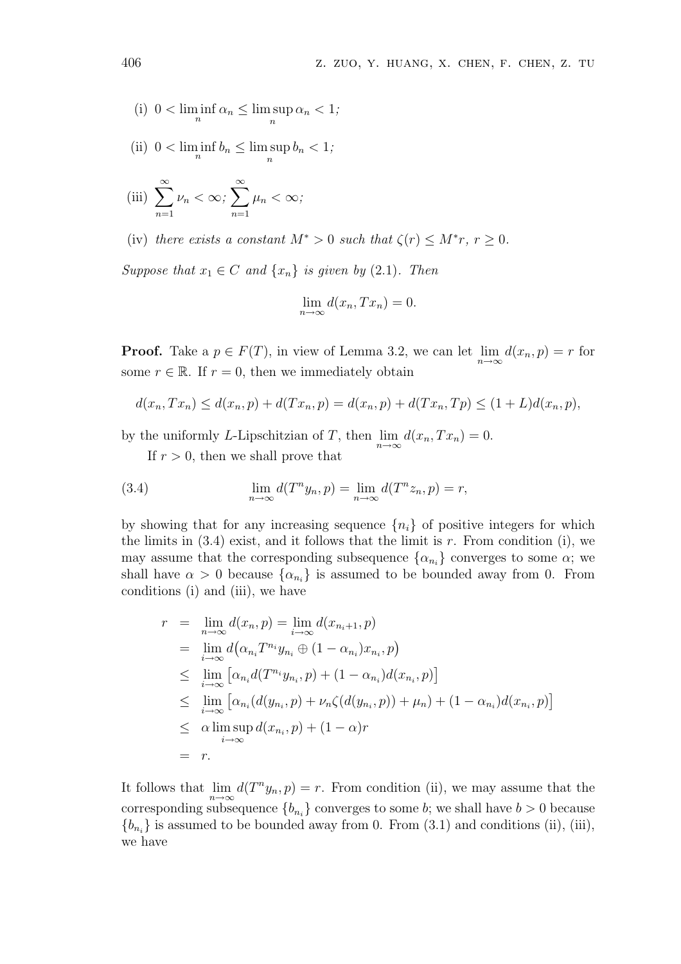(i) 
$$
0 < \liminf_{n} \alpha_n \leq \limsup_{n} \alpha_n < 1;
$$

(ii)  $0 < \liminf_{n} b_n \leq \limsup_{n} b_n < 1;$ 

(iii) 
$$
\sum_{n=1}^{\infty} \nu_n < \infty; \sum_{n=1}^{\infty} \mu_n < \infty;
$$

(iv) there exists a constant  $M^* > 0$  such that  $\zeta(r) \leq M^*r$ ,  $r \geq 0$ .

Suppose that  $x_1 \in C$  and  $\{x_n\}$  is given by (2.1). Then

$$
\lim_{n \to \infty} d(x_n, Tx_n) = 0.
$$

**Proof.** Take a  $p \in F(T)$ , in view of Lemma 3.2, we can let  $\lim_{n \to \infty} d(x_n, p) = r$  for some  $r \in \mathbb{R}$ . If  $r = 0$ , then we immediately obtain

$$
d(x_n, Tx_n) \le d(x_n, p) + d(Tx_n, p) = d(x_n, p) + d(Tx_n, Tp) \le (1 + L)d(x_n, p),
$$

by the uniformly L-Lipschitzian of T, then  $\lim_{n\to\infty} d(x_n, Tx_n) = 0$ .

If  $r > 0$ , then we shall prove that

(3.4) 
$$
\lim_{n \to \infty} d(T^n y_n, p) = \lim_{n \to \infty} d(T^n z_n, p) = r,
$$

by showing that for any increasing sequence  $\{n_i\}$  of positive integers for which the limits in  $(3.4)$  exist, and it follows that the limit is r. From condition (i), we may assume that the corresponding subsequence  $\{\alpha_{n_i}\}\)$  converges to some  $\alpha$ ; we shall have  $\alpha > 0$  because  $\{\alpha_{n_i}\}\$ is assumed to be bounded away from 0. From conditions (i) and (iii), we have

$$
r = \lim_{n \to \infty} d(x_n, p) = \lim_{i \to \infty} d(x_{n_i+1}, p)
$$
  
\n
$$
= \lim_{i \to \infty} d(\alpha_{n_i} T^{n_i} y_{n_i} \oplus (1 - \alpha_{n_i}) x_{n_i}, p)
$$
  
\n
$$
\leq \lim_{i \to \infty} [\alpha_{n_i} d(T^{n_i} y_{n_i}, p) + (1 - \alpha_{n_i}) d(x_{n_i}, p)]
$$
  
\n
$$
\leq \lim_{i \to \infty} [\alpha_{n_i} (d(y_{n_i}, p) + \nu_n \zeta(d(y_{n_i}, p)) + \mu_n) + (1 - \alpha_{n_i}) d(x_{n_i}, p)]
$$
  
\n
$$
\leq \alpha \limsup_{i \to \infty} d(x_{n_i}, p) + (1 - \alpha)r
$$
  
\n
$$
= r.
$$

It follows that  $\lim_{n\to\infty} d(T^n y_n, p) = r$ . From condition (ii), we may assume that the corresponding subsequence  ${b_{n_i}}$  converges to some b; we shall have  $b > 0$  because  ${b_{n_i}}$  is assumed to be bounded away from 0. From (3.1) and conditions (ii), (iii), we have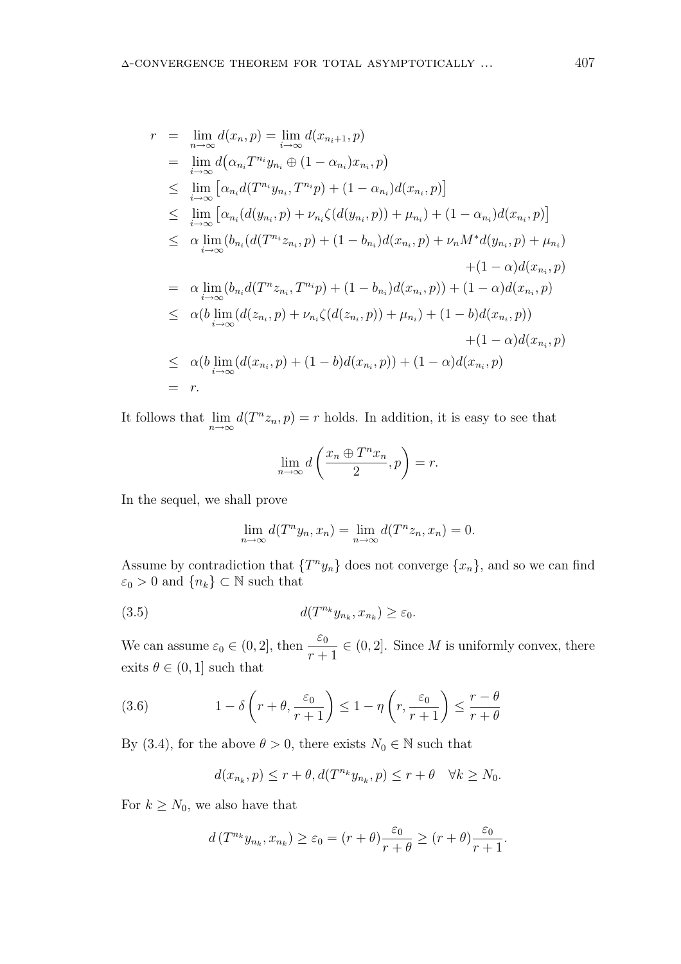$$
r = \lim_{n \to \infty} d(x_n, p) = \lim_{i \to \infty} d(x_{n_i+1}, p)
$$
  
\n
$$
= \lim_{i \to \infty} d(\alpha_{n_i} T^{n_i} y_{n_i} \oplus (1 - \alpha_{n_i}) x_{n_i}, p)
$$
  
\n
$$
\leq \lim_{i \to \infty} [\alpha_{n_i} d(T^{n_i} y_{n_i}, T^{n_i} p) + (1 - \alpha_{n_i}) d(x_{n_i}, p)]
$$
  
\n
$$
\leq \lim_{i \to \infty} [\alpha_{n_i} (d(y_{n_i}, p) + \nu_{n_i} \zeta (d(y_{n_i}, p)) + \mu_{n_i}) + (1 - \alpha_{n_i}) d(x_{n_i}, p)]
$$
  
\n
$$
\leq \alpha \lim_{i \to \infty} (b_{n_i} (d(T^{n_i} z_{n_i}, p) + (1 - b_{n_i}) d(x_{n_i}, p) + \nu_n M^* d(y_{n_i}, p) + \mu_{n_i})
$$
  
\n
$$
+ (1 - \alpha) d(x_{n_i}, p)
$$
  
\n
$$
= \alpha \lim_{i \to \infty} (b_{n_i} d(T^n z_{n_i}, T^{n_i} p) + (1 - b_{n_i}) d(x_{n_i}, p)) + (1 - \alpha) d(x_{n_i}, p)
$$
  
\n
$$
\leq \alpha (b \lim_{i \to \infty} (d(z_{n_i}, p) + \nu_{n_i} \zeta (d(z_{n_i}, p)) + \mu_{n_i}) + (1 - b) d(x_{n_i}, p))
$$
  
\n
$$
+ (1 - \alpha) d(x_{n_i}, p)
$$
  
\n
$$
\leq \alpha (b \lim_{i \to \infty} (d(x_{n_i}, p) + (1 - b) d(x_{n_i}, p)) + (1 - \alpha) d(x_{n_i}, p)
$$
  
\n
$$
= r.
$$

It follows that  $\lim_{n\to\infty} d(T^n z_n, p) = r$  holds. In addition, it is easy to see that

$$
\lim_{n \to \infty} d\left(\frac{x_n \oplus T^n x_n}{2}, p\right) = r.
$$

In the sequel, we shall prove

$$
\lim_{n \to \infty} d(T^n y_n, x_n) = \lim_{n \to \infty} d(T^n z_n, x_n) = 0.
$$

Assume by contradiction that  $\{T^n y_n\}$  does not converge  $\{x_n\}$ , and so we can find  $\varepsilon_0 > 0$  and  $\{n_k\} \subset \mathbb{N}$  such that

(3.5) 
$$
d(T^{n_k}y_{n_k}, x_{n_k}) \geq \varepsilon_0.
$$

We can assume  $\varepsilon_0 \in (0, 2]$ , then  $\frac{\varepsilon_0}{r+1}$  $\in (0, 2]$ . Since M is uniformly convex, there exits  $\theta \in (0, 1]$  such that

(3.6) 
$$
1 - \delta \left( r + \theta, \frac{\varepsilon_0}{r+1} \right) \le 1 - \eta \left( r, \frac{\varepsilon_0}{r+1} \right) \le \frac{r - \theta}{r + \theta}
$$

By (3.4), for the above  $\theta > 0$ , there exists  $N_0 \in \mathbb{N}$  such that

$$
d(x_{n_k},p)\leq r+\theta, d(T^{n_k}y_{n_k},p)\leq r+\theta \quad \forall k\geq N_0.
$$

For  $k \geq N_0$ , we also have that

$$
d(T^{n_k}y_{n_k}, x_{n_k}) \ge \varepsilon_0 = (r+\theta)\frac{\varepsilon_0}{r+\theta} \ge (r+\theta)\frac{\varepsilon_0}{r+1}.
$$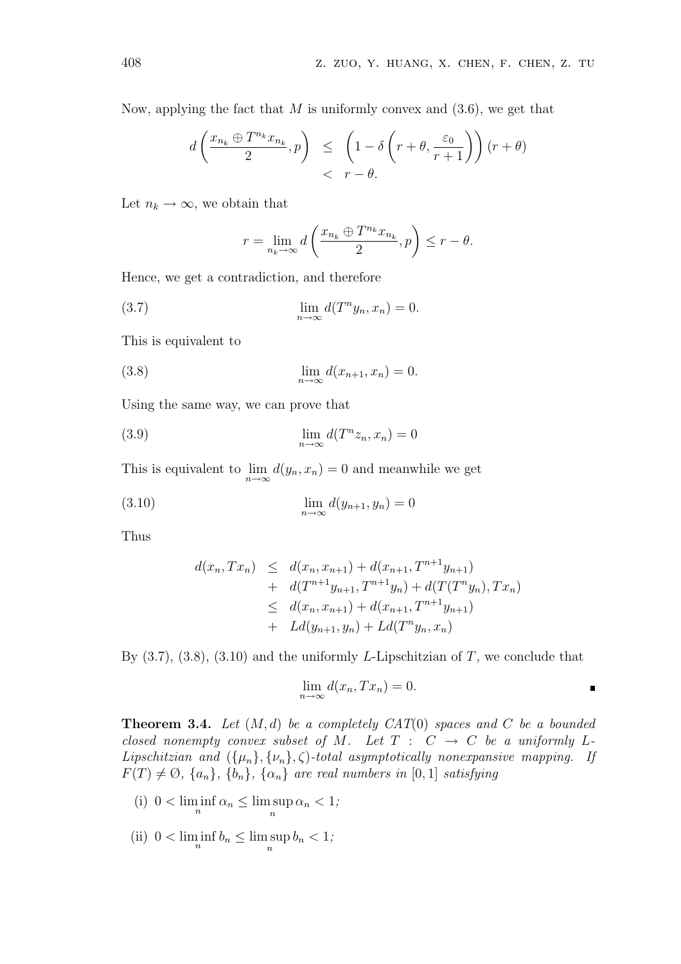Now, applying the fact that  $M$  is uniformly convex and  $(3.6)$ , we get that

$$
d\left(\frac{x_{n_k} \oplus T^{n_k}x_{n_k}}{2}, p\right) \leq \left(1 - \delta\left(r + \theta, \frac{\varepsilon_0}{r+1}\right)\right)(r + \theta) < r - \theta.
$$

Let  $n_k \to \infty$ , we obtain that

$$
r = \lim_{n_k \to \infty} d\left(\frac{x_{n_k} \oplus T^{n_k} x_{n_k}}{2}, p\right) \le r - \theta.
$$

Hence, we get a contradiction, and therefore

(3.7) 
$$
\lim_{n \to \infty} d(T^n y_n, x_n) = 0.
$$

This is equivalent to

(3.8) 
$$
\lim_{n \to \infty} d(x_{n+1}, x_n) = 0.
$$

Using the same way, we can prove that

(3.9) 
$$
\lim_{n \to \infty} d(T^n z_n, x_n) = 0
$$

This is equivalent to  $\lim_{n\to\infty} d(y_n, x_n) = 0$  and meanwhile we get

$$
\lim_{n \to \infty} d(y_{n+1}, y_n) = 0
$$

Thus

$$
d(x_n, Tx_n) \leq d(x_n, x_{n+1}) + d(x_{n+1}, T^{n+1}y_{n+1})
$$
  
+ 
$$
d(T^{n+1}y_{n+1}, T^{n+1}y_n) + d(T(T^n y_n), Tx_n)
$$
  

$$
\leq d(x_n, x_{n+1}) + d(x_{n+1}, T^{n+1}y_{n+1})
$$
  
+ 
$$
Ld(y_{n+1}, y_n) + Ld(T^n y_n, x_n)
$$

By  $(3.7), (3.8), (3.10)$  and the uniformly L-Lipschitzian of T, we conclude that

$$
\lim_{n \to \infty} d(x_n, Tx_n) = 0.
$$

**Theorem 3.4.** Let  $(M, d)$  be a completely CAT(0) spaces and C be a bounded closed nonempty convex subset of M. Let  $T : C \rightarrow C$  be a uniformly L-Lipschitzian and  $({\mu_n}, {\nu_n}, \zeta)$ -total asymptotically nonexpansive mapping. If  $F(T) \neq \emptyset$ ,  $\{a_n\}$ ,  $\{b_n\}$ ,  $\{\alpha_n\}$  are real numbers in [0, 1] satisfying

(i) 
$$
0 < \liminf_{n} \alpha_n \leq \limsup_{n} \alpha_n < 1;
$$

(ii)  $0 < \liminf_{n} b_n \leq \limsup_{n} b_n < 1;$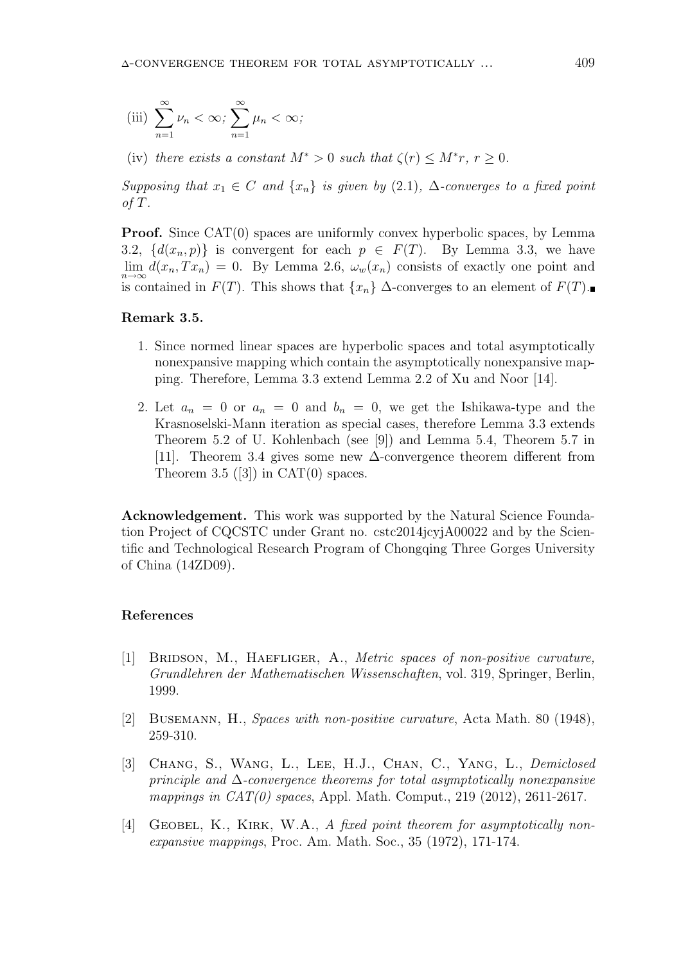(iii) 
$$
\sum_{n=1}^{\infty} \nu_n < \infty; \sum_{n=1}^{\infty} \mu_n < \infty;
$$

(iv) there exists a constant  $M^* > 0$  such that  $\zeta(r) \leq M^*r$ ,  $r \geq 0$ .

Supposing that  $x_1 \in C$  and  $\{x_n\}$  is given by (2.1),  $\Delta$ -converges to a fixed point of  $T$ .

**Proof.** Since CAT(0) spaces are uniformly convex hyperbolic spaces, by Lemma 3.2,  $\{d(x_n, p)\}\$ is convergent for each  $p \in F(T)$ . By Lemma 3.3, we have  $\lim_{n\to\infty} d(x_n, Tx_n) = 0$ . By Lemma 2.6,  $\omega_w(x_n)$  consists of exactly one point and is contained in  $F(T)$ . This shows that  $\{x_n\}$  ∆-converges to an element of  $F(T)$ .

## Remark 3.5.

- 1. Since normed linear spaces are hyperbolic spaces and total asymptotically nonexpansive mapping which contain the asymptotically nonexpansive mapping. Therefore, Lemma 3.3 extend Lemma 2.2 of Xu and Noor [14].
- 2. Let  $a_n = 0$  or  $a_n = 0$  and  $b_n = 0$ , we get the Ishikawa-type and the Krasnoselski-Mann iteration as special cases, therefore Lemma 3.3 extends Theorem 5.2 of U. Kohlenbach (see [9]) and Lemma 5.4, Theorem 5.7 in [11]. Theorem 3.4 gives some new ∆-convergence theorem different from Theorem 3.5 ([3]) in CAT(0) spaces.

Acknowledgement. This work was supported by the Natural Science Foundation Project of CQCSTC under Grant no. cstc2014jcyjA00022 and by the Scientific and Technological Research Program of Chongqing Three Gorges University of China (14ZD09).

#### References

- [1] BRIDSON, M., HAEFLIGER, A., *Metric spaces of non-positive curvature*, Grundlehren der Mathematischen Wissenschaften, vol. 319, Springer, Berlin, 1999.
- [2] Busemann, H., Spaces with non-positive curvature, Acta Math. 80 (1948), 259-310.
- [3] CHANG, S., WANG, L., LEE, H.J., CHAN, C., YANG, L., Demiclosed principle and  $\Delta$ -convergence theorems for total asymptotically nonexpansive mappings in  $CAT(0)$  spaces, Appl. Math. Comput., 219 (2012), 2611-2617.
- [4] GEOBEL, K., KIRK, W.A., A fixed point theorem for asymptotically nonexpansive mappings, Proc. Am. Math. Soc., 35 (1972), 171-174.